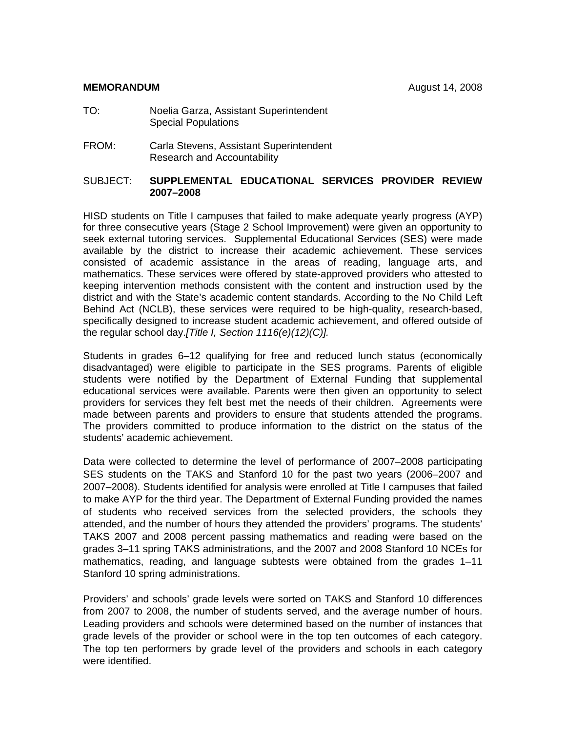#### **MEMORANDUM August 14, 2008**

- TO: Noelia Garza, Assistant Superintendent Special Populations
- FROM:Carla Stevens, Assistant Superintendent Research and Accountability

#### SUBJECT: **SUPPLEMENTAL EDUCATIONAL SERVICES PROVIDER REVIEW 2007–2008**

HISD students on Title I campuses that failed to make adequate yearly progress (AYP) for three consecutive years (Stage 2 School Improvement) were given an opportunity to seek external tutoring services. Supplemental Educational Services (SES) were made available by the district to increase their academic achievement. These services consisted of academic assistance in the areas of reading, language arts, and mathematics. These services were offered by state-approved providers who attested to keeping intervention methods consistent with the content and instruction used by the district and with the State's academic content standards. According to the No Child Left Behind Act (NCLB), these services were required to be high-quality, research-based, specifically designed to increase student academic achievement, and offered outside of the regular school day.*[Title I, Section 1116(e)(12)(C)].*

Students in grades 6–12 qualifying for free and reduced lunch status (economically disadvantaged) were eligible to participate in the SES programs. Parents of eligible students were notified by the Department of External Funding that supplemental educational services were available. Parents were then given an opportunity to select providers for services they felt best met the needs of their children. Agreements were made between parents and providers to ensure that students attended the programs. The providers committed to produce information to the district on the status of the students' academic achievement.

Data were collected to determine the level of performance of 2007–2008 participating SES students on the TAKS and Stanford 10 for the past two years (2006–2007 and 2007–2008). Students identified for analysis were enrolled at Title I campuses that failed to make AYP for the third year. The Department of External Funding provided the names of students who received services from the selected providers, the schools they attended, and the number of hours they attended the providers' programs. The students' TAKS 2007 and 2008 percent passing mathematics and reading were based on the grades 3–11 spring TAKS administrations, and the 2007 and 2008 Stanford 10 NCEs for mathematics, reading, and language subtests were obtained from the grades 1–11 Stanford 10 spring administrations.

Providers' and schools' grade levels were sorted on TAKS and Stanford 10 differences from 2007 to 2008, the number of students served, and the average number of hours. Leading providers and schools were determined based on the number of instances that grade levels of the provider or school were in the top ten outcomes of each category. The top ten performers by grade level of the providers and schools in each category were identified.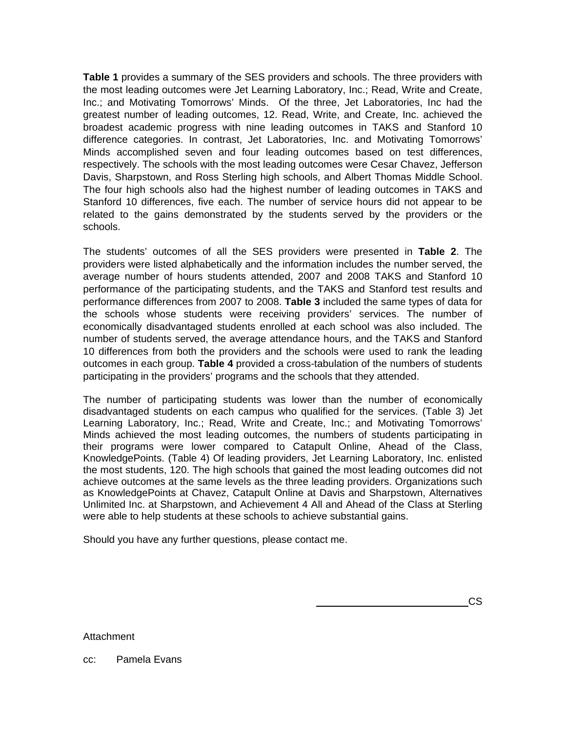**Table 1** provides a summary of the SES providers and schools. The three providers with the most leading outcomes were Jet Learning Laboratory, Inc.; Read, Write and Create, Inc.; and Motivating Tomorrows' Minds. Of the three, Jet Laboratories, Inc had the greatest number of leading outcomes, 12. Read, Write, and Create, Inc. achieved the broadest academic progress with nine leading outcomes in TAKS and Stanford 10 difference categories. In contrast, Jet Laboratories, Inc. and Motivating Tomorrows' Minds accomplished seven and four leading outcomes based on test differences, respectively. The schools with the most leading outcomes were Cesar Chavez, Jefferson Davis, Sharpstown, and Ross Sterling high schools, and Albert Thomas Middle School. The four high schools also had the highest number of leading outcomes in TAKS and Stanford 10 differences, five each. The number of service hours did not appear to be related to the gains demonstrated by the students served by the providers or the schools.

The students' outcomes of all the SES providers were presented in **Table 2**. The providers were listed alphabetically and the information includes the number served, the average number of hours students attended, 2007 and 2008 TAKS and Stanford 10 performance of the participating students, and the TAKS and Stanford test results and performance differences from 2007 to 2008. **Table 3** included the same types of data for the schools whose students were receiving providers' services. The number of economically disadvantaged students enrolled at each school was also included. The number of students served, the average attendance hours, and the TAKS and Stanford 10 differences from both the providers and the schools were used to rank the leading outcomes in each group. **Table 4** provided a cross-tabulation of the numbers of students participating in the providers' programs and the schools that they attended.

The number of participating students was lower than the number of economically disadvantaged students on each campus who qualified for the services. (Table 3) Jet Learning Laboratory, Inc.; Read, Write and Create, Inc.; and Motivating Tomorrows' Minds achieved the most leading outcomes, the numbers of students participating in their programs were lower compared to Catapult Online, Ahead of the Class, KnowledgePoints. (Table 4) Of leading providers, Jet Learning Laboratory, Inc. enlisted the most students, 120. The high schools that gained the most leading outcomes did not achieve outcomes at the same levels as the three leading providers. Organizations such as KnowledgePoints at Chavez, Catapult Online at Davis and Sharpstown, Alternatives Unlimited Inc. at Sharpstown, and Achievement 4 All and Ahead of the Class at Sterling were able to help students at these schools to achieve substantial gains.

Should you have any further questions, please contact me.

<u>such a contract of the contract of the contract of the contract of the contract of the contract of the contract of the contract of the contract of the contract of the contract of the contract of the contract of the contra</u>

**Attachment** 

cc: Pamela Evans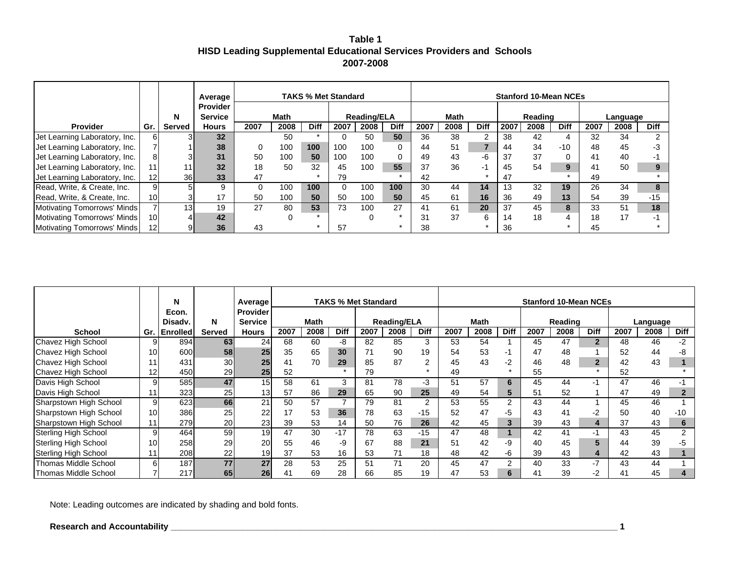**Table 1 HISD Leading Supplemental Educational Services Providers and Schools 2007-2008**

|                               |                 |                 | Average                           |      |             | <b>TAKS % Met Standard</b> |          |                    |             |      |      |                |      | <b>Stanford 10-Mean NCEs</b> |             |      |          |                |
|-------------------------------|-----------------|-----------------|-----------------------------------|------|-------------|----------------------------|----------|--------------------|-------------|------|------|----------------|------|------------------------------|-------------|------|----------|----------------|
|                               |                 | N               | <b>Provider</b><br><b>Service</b> |      | <b>Math</b> |                            |          | <b>Reading/ELA</b> |             |      | Math |                |      | Reading                      |             |      | Language |                |
| Provider                      | Gr.             | Served          | <b>Hours</b>                      | 2007 | 2008        | <b>Diff</b>                | 2007     | 2008               | <b>Diff</b> | 2007 | 2008 | <b>Diff</b>    | 2007 | 2008                         | <b>Diff</b> | 2007 | 2008     | <b>Diff</b>    |
| Jet Learning Laboratory, Inc. |                 | 31              | 32                                |      | 50          |                            |          | 50                 | 50          | 36   | 38   | $\overline{2}$ | 38   | 42                           | 4           | 32   | 34       | $\mathfrak{p}$ |
| Jet Learning Laboratory, Inc. |                 |                 | 38                                | 0    | 100         | 100                        | 100      | 100                | 0           | 44   | 51   |                | 44   | 34                           | $-10$       | 48   | 45       | -3             |
| Jet Learning Laboratory, Inc. | 8               | 3 <sub>l</sub>  | 31                                | 50   | 100         | 50                         | 100      | 100                |             | 49   | 43   | $-6$           | 37   | 37                           |             | 41   | 40       |                |
| Jet Learning Laboratory, Inc. | 11              | 11              | 32                                | 18   | 50          | 32                         | 45       | 100                | 55          | 37   | 36   | -1             | 45   | 54                           | 9           | 41   | 50       | 9              |
| Jet Learning Laboratory, Inc. | 12              | 36 <sup>1</sup> | 33                                | 47   |             |                            | 79       |                    |             | 42   |      |                | 47   |                              |             | 49   |          |                |
| Read, Write, & Create, Inc.   | 9               | 5               | 9                                 |      | 100         | 100                        | $\Omega$ | 100                | 100         | 30   | 44   | 14             | 13   | 32                           | 19          | 26   | 34       | 8              |
| Read, Write, & Create, Inc.   | 10 <sub>l</sub> |                 | 17                                | 50   | 100         | 50                         | 50       | 100                | 50          | 45   | 61   | 16             | 36   | 49                           | 13          | 54   | 39       | $-15$          |
| Motivating Tomorrows' Minds   |                 | 13 <sub>l</sub> | 19                                | 27   | 80          | 53                         | 73       | 100                | 27          | 41   | 61   | 20             | 37   | 45                           | 8           | 33   | 51       | 18             |
| Motivating Tomorrows' Minds   | 10 <sup>1</sup> | 4               | 42                                |      |             |                            |          |                    |             | 31   | 37   | 6              | 14   | 18                           |             | 18   | 17       | ÷              |
| Motivating Tomorrows' Minds   | 12 <sub>l</sub> | 91              | 36                                | 43   |             |                            | 57       |                    |             | 38   |      |                | 36   |                              |             | 45   |          |                |

|                             |                 | N                |                 | Average         |      |             |             | <b>TAKS % Met Standard</b> |                    |             |      |             |             |      | <b>Stanford 10-Mean NCEs</b> |                |      |          |             |
|-----------------------------|-----------------|------------------|-----------------|-----------------|------|-------------|-------------|----------------------------|--------------------|-------------|------|-------------|-------------|------|------------------------------|----------------|------|----------|-------------|
|                             |                 | Econ.            |                 | <b>Provider</b> |      |             |             |                            |                    |             |      |             |             |      |                              |                |      |          |             |
|                             |                 | Disady.          | N               | <b>Service</b>  |      | <b>Math</b> |             |                            | <b>Reading/ELA</b> |             |      | <b>Math</b> |             |      | Reading                      |                |      | Language |             |
| <b>School</b>               | Gr.             | <b>Enrolled</b>  | <b>Served</b>   | <b>Hours</b>    | 2007 | 2008        | <b>Diff</b> | 2007                       | 2008               | <b>Diff</b> | 2007 | 2008        | <b>Diff</b> | 2007 | 2008                         | <b>Diff</b>    | 2007 | 2008     | <b>Diff</b> |
| Chavez High School          |                 | 894              | 63              | 24              | 68   | 60          | -8          | 82                         | 85                 | 3           | 53   | 54          |             | 45   | 47                           | $\overline{2}$ | 48   | 46       | -2          |
| Chavez High School          | 10 <sup>1</sup> | 600              | 58              | 25              | 35   | 65          | 30          | 71                         | 90                 | 19          | 54   | 53          | -1          | 47   | 48                           |                | 52   | 44       |             |
| Chavez High School          | 11              | 431              | 30 <sub>l</sub> | 25              | 41   | 70          | 29          | 85                         | 87                 | 2           | 45   | 43          | $-2$        | 46   | 48                           |                | 42   | 43       |             |
| Chavez High School          | 12              | 450              | 29              | 25 <sub>l</sub> | 52   |             |             | 79                         |                    |             | 49   |             |             | 55   |                              |                | 52   |          |             |
| Davis High School           |                 | 585 <sup> </sup> | 47              | 15              | 58   | 61          | 3           | 81                         | 78                 | $-3$        | 51   | 57          | 6           | 45   | 44                           |                | 47   | 46       |             |
| Davis High School           | 11              | 323              | 25              | 13 <sub>l</sub> | 57   | 86          | 29          | 65                         | 90                 | 25          | 49   | 54          |             | 51   | 52                           |                | 47   | 49       |             |
| Sharpstown High School      | 9l              | 623              | 66              | 21              | 50   | 57          |             | 79                         | 81                 | 2           | 53   | 55          | 2           | 43   | 44                           |                | 45   | 46       |             |
| Sharpstown High School      | 10 <sup>1</sup> | 386              | 25              | 22              | 17   | 53          | 36          | 78                         | 63                 | $-15$       | 52   | 47          | -5          | 43   | 41                           |                | 50   | 40       | $-10$       |
| Sharpstown High School      | 11              | 279              | 20              | 23              | 39   | 53          | 14          | 50                         | 76                 | 26          | 42   | 45          |             | 39   | 43                           |                | 37   | 43       |             |
| <b>Sterling High School</b> | 9               | 464              | 59              | 19              | 47   | 30          | $-17$       | 78                         | 63                 | $-15$       | 47   | 48          |             | 42   | 41                           |                | 43   | 45       |             |
| Sterling High School        | 10 <sup>1</sup> | 258              | 29              | 20              | 55   | 46          | -9          | 67                         | 88                 | 21          | 51   | 42          | -9          | 40   | 45                           |                | 44   | 39       |             |
| <b>Sterling High School</b> | 11              | 208              | 22              | 19 <sup>l</sup> | 37   | 53          | 16          | 53                         | 71                 | 18          | 48   | 42          | -6          | 39   | 43                           |                | 42   | 43       |             |
| Thomas Middle School        | 61              | 187              | 77              | 27              | 28   | 53          | 25          | 51                         | 71                 | 20          | 45   | 47          | ◠           | 40   | 33                           | $-7$           | 43   | 44       |             |
| Thomas Middle School        |                 | 217              | 65              | 26              | 41   | 69          | 28          | 66                         | 85                 | 19          | 47   | 53          | 6           | 41   | 39                           |                | 41   | 45       |             |

Note: Leading outcomes are indicated by shading and bold fonts.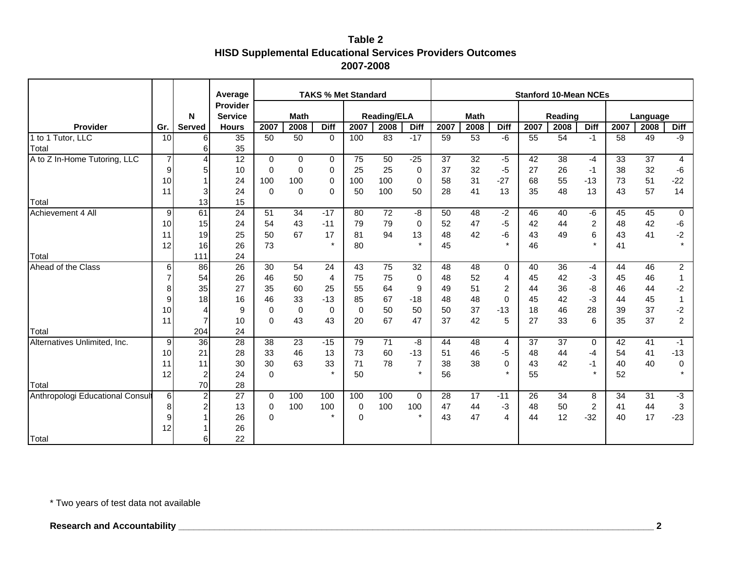|                                  |                |                | Average         |             |             |                | <b>TAKS % Met Standard</b> |                    |                      |      |             |                |      | <b>Stanford 10-Mean NCEs</b> |              |      |                 |                 |
|----------------------------------|----------------|----------------|-----------------|-------------|-------------|----------------|----------------------------|--------------------|----------------------|------|-------------|----------------|------|------------------------------|--------------|------|-----------------|-----------------|
|                                  |                |                | <b>Provider</b> |             |             |                |                            |                    |                      |      |             |                |      |                              |              |      |                 |                 |
|                                  |                | N              | <b>Service</b>  |             | <b>Math</b> |                |                            | <b>Reading/ELA</b> |                      |      | <b>Math</b> |                |      | Reading                      |              |      | Language        |                 |
| Provider<br>1 to 1 Tutor, LLC    | Gr.            | <b>Served</b>  | <b>Hours</b>    | 2007        | 2008        | <b>Diff</b>    | 2007                       | 2008               | <b>Diff</b><br>$-17$ | 2007 | 2008        | <b>Diff</b>    | 2007 | 2008                         | <b>Diff</b>  | 2007 | 2008            | <b>Diff</b>     |
|                                  | 10             | 6              | $\overline{35}$ | 50          | 50          | 0              | 100                        | 83                 |                      | 59   | 53          | $-6$           | 55   | 54                           | $-1$         | 58   | 49              | -9              |
| Total                            | $\overline{7}$ | 6<br>4         | 35<br>12        |             |             |                | 75                         | 50                 |                      | 37   |             |                |      | $\overline{38}$              |              |      | $\overline{37}$ |                 |
| A to Z In-Home Tutoring, LLC     |                |                |                 | $\mathbf 0$ | 0           | 0              |                            |                    | $-25$                |      | 32          | $-5$           | 42   |                              | $-4$         | 33   |                 | 4               |
|                                  | 9              | 5              | 10              | 0           | $\pmb{0}$   | 0              | 25                         | 25                 | 0                    | 37   | 32          | $-5$           | 27   | 26                           | $-1$         | 38   | 32              | -6              |
|                                  | 10             |                | 24              | 100         | 100         | 0              | 100                        | 100                | $\mathbf 0$          | 58   | 31          | $-27$          | 68   | 55                           | $-13$        | 73   | 51<br>57        | $-22$           |
|                                  | 11             | 3              | 24              | $\mathbf 0$ | $\mathbf 0$ | $\Omega$       | 50                         | 100                | 50                   | 28   | 41          | 13             | 35   | 48                           | 13           | 43   |                 | 14              |
| Total                            |                | 13             | 15              |             |             |                |                            |                    |                      |      |             |                |      |                              |              |      |                 |                 |
| Achievement 4 All                | 9              | 61             | $\overline{24}$ | 51          | 34          | $-17$          | 80                         | 72                 | $-8$                 | 50   | 48          | $-2$           | 46   | 40                           | -6           | 45   | 45              | 0               |
|                                  | 10             | 15             | 24              | 54          | 43          | $-11$          | 79                         | 79                 | 0                    | 52   | 47          | -5             | 42   | 44                           | 2            | 48   | 42              | -6              |
|                                  | 11             | 19             | 25              | 50          | 67          | 17<br>$\star$  | 81                         | 94                 | 13<br>$\star$        | 48   | 42          | -6             | 43   | 49                           | 6<br>$\star$ | 43   | 41              | $-2$<br>$\star$ |
|                                  | 12             | 16             | 26              | 73          |             |                | 80                         |                    |                      | 45   |             |                | 46   |                              |              | 41   |                 |                 |
| Total                            |                | 111            | 24              |             |             |                |                            |                    |                      |      |             |                |      |                              |              |      |                 |                 |
| Ahead of the Class               | 6              | 86             | $\overline{26}$ | 30          | 54          | 24             | 43                         | 75                 | $\overline{32}$      | 48   | 48          | 0              | 40   | 36                           | -4           | 44   | 46              | $\overline{c}$  |
|                                  | $\overline{7}$ | 54             | 26              | 46          | 50          | $\overline{4}$ | 75                         | 75                 | 0                    | 48   | 52          | 4              | 45   | 42                           | -3           | 45   | 46              | 1               |
|                                  | 8              | 35             | 27              | 35          | 60          | 25             | 55                         | 64                 | 9                    | 49   | 51          | 2              | 44   | 36                           | -8           | 46   | 44              | $-2$            |
|                                  | 9              | 18             | 16              | 46          | 33          | $-13$          | 85                         | 67                 | $-18$                | 48   | 48          | $\Omega$       | 45   | 42                           | $-3$         | 44   | 45              | $\mathbf{1}$    |
|                                  | 10             | 4              | 9               | 0           | $\mathbf 0$ | 0              | 0                          | 50                 | 50                   | 50   | 37          | $-13$          | 18   | 46                           | 28           | 39   | 37              | $-2$            |
|                                  | 11             | $\overline{7}$ | 10              | $\mathbf 0$ | 43          | 43             | 20                         | 67                 | 47                   | 37   | 42          | 5              | 27   | 33                           | 6            | 35   | 37              | $\overline{c}$  |
| Total                            |                | 204            | 24              |             |             |                |                            |                    |                      |      |             |                |      |                              |              |      |                 |                 |
| Alternatives Unlimited, Inc.     | 9              | 36             | 28              | 38          | 23          | $-15$          | 79                         | 71                 | -8                   | 44   | 48          | $\overline{4}$ | 37   | 37                           | $\Omega$     | 42   | 41              | $-1$            |
|                                  | 10             | 21             | 28              | 33          | 46          | 13             | 73                         | 60                 | $-13$                | 51   | 46          | $-5$           | 48   | 44                           | $-4$         | 54   | 41              | $-13$           |
|                                  | 11             | 11             | 30              | 30          | 63          | 33             | 71                         | 78                 | $\overline{7}$       | 38   | 38          | $\mathbf 0$    | 43   | 42                           | $-1$         | 40   | 40              | 0               |
|                                  | 12             | 2              | 24              | $\mathbf 0$ |             | $\star$        | 50                         |                    | $\star$              | 56   |             | $\star$        | 55   |                              | $\star$      | 52   |                 |                 |
| Total                            |                | 70             | 28              |             |             |                |                            |                    |                      |      |             |                |      |                              |              |      |                 |                 |
| Anthropologi Educational Consult | 6              | 2              | 27              | $\mathbf 0$ | 100         | 100            | 100                        | 100                | $\mathbf 0$          | 28   | 17          | $-11$          | 26   | 34                           | 8            | 34   | 31              | $-3$            |
|                                  | 8              | 2              | 13              | 0           | 100         | 100            | 0                          | 100                | 100                  | 47   | 44          | $-3$           | 48   | 50                           | 2            | 41   | 44              | $\mathbf{3}$    |
|                                  | 9              |                | 26              | $\Omega$    |             | $\star$        | $\Omega$                   |                    | $\star$              | 43   | 47          | $\overline{4}$ | 44   | 12                           | $-32$        | 40   | 17              | $-23$           |
|                                  | 12             |                | 26              |             |             |                |                            |                    |                      |      |             |                |      |                              |              |      |                 |                 |
| Total                            |                | 6              | 22              |             |             |                |                            |                    |                      |      |             |                |      |                              |              |      |                 |                 |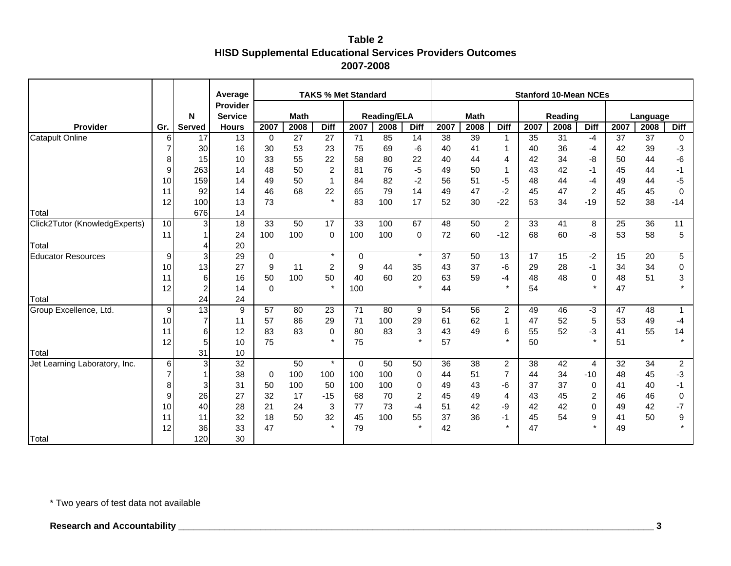|                               |                |                         | Average         |             |             |                | <b>TAKS % Met Standard</b> |                    |                |      |             |                         |                 | <b>Stanford 10-Mean NCEs</b> |                |      |          |                |
|-------------------------------|----------------|-------------------------|-----------------|-------------|-------------|----------------|----------------------------|--------------------|----------------|------|-------------|-------------------------|-----------------|------------------------------|----------------|------|----------|----------------|
|                               |                |                         | Provider        |             |             |                |                            |                    |                |      |             |                         |                 |                              |                |      |          |                |
|                               |                | N                       | <b>Service</b>  |             | <b>Math</b> |                |                            | <b>Reading/ELA</b> |                |      | <b>Math</b> |                         |                 | Reading                      |                |      | Language |                |
| Provider                      | Gr.            | <b>Served</b>           | <b>Hours</b>    | 2007        | 2008        | <b>Diff</b>    | 2007                       | 2008               | <b>Diff</b>    | 2007 | 2008        | <b>Diff</b>             | 2007            | 2008                         | <b>Diff</b>    | 2007 | 2008     | <b>Diff</b>    |
| <b>Catapult Online</b>        | 6              | 17                      | $\overline{13}$ | $\mathbf 0$ | 27          | 27             | 71                         | 85                 | 14             | 38   | 39          | $\overline{\mathbf{1}}$ | $\overline{35}$ | 31                           | -4             | 37   | 37       | 0              |
|                               | 7              | 30                      | 16              | 30          | 53          | 23             | 75                         | 69                 | $-6$           | 40   | 41          | -1                      | 40              | 36                           | -4             | 42   | 39       | -3             |
|                               | 8              | 15                      | 10              | 33          | 55          | 22             | 58                         | 80                 | 22             | 40   | 44          | $\overline{4}$          | 42              | 34                           | -8             | 50   | 44       | -6             |
|                               | 9              | 263                     | 14              | 48          | 50          | $\overline{c}$ | 81                         | 76                 | $-5$           | 49   | 50          | -1                      | 43              | 42                           | -1             | 45   | 44       | -1             |
|                               | 10             | 159                     | 14              | 49          | 50          | $\mathbf{1}$   | 84                         | 82                 | $-2$           | 56   | 51          | $-5$                    | 48              | 44                           | -4             | 49   | 44       | -5             |
|                               | 11             | 92                      | 14              | 46          | 68          | 22             | 65                         | 79                 | 14             | 49   | 47          | $-2$                    | 45              | 47                           | $\overline{2}$ | 45   | 45       | 0              |
|                               | 12             | 100                     | 13              | 73          |             | $\star$        | 83                         | 100                | 17             | 52   | 30          | $-22$                   | 53              | 34                           | $-19$          | 52   | 38       | $-14$          |
| Total                         |                | 676                     | 14              |             |             |                |                            |                    |                |      |             |                         |                 |                              |                |      |          |                |
| Click2Tutor (KnowledgExperts) | 10             | 3                       | 18              | 33          | 50          | 17             | 33                         | 100                | 67             | 48   | 50          | $\overline{2}$          | 33              | 41                           | 8              | 25   | 36       | 11             |
|                               | 11             |                         | 24              | 100         | 100         | $\mathbf 0$    | 100                        | 100                | $\mathbf 0$    | 72   | 60          | $-12$                   | 68              | 60                           | -8             | 53   | 58       | 5              |
| Total                         |                | $\overline{4}$          | 20              |             |             |                |                            |                    |                |      |             |                         |                 |                              |                |      |          |                |
| <b>Educator Resources</b>     | $\overline{9}$ | 3                       | 29              | 0           |             | $\star$        | $\mathbf 0$                |                    | $\star$        | 37   | 50          | 13                      | 17              | 15                           | $-2$           | 15   | 20       | 5              |
|                               | 10             | 13                      | 27              | 9           | 11          | $\overline{c}$ | 9                          | 44                 | 35             | 43   | 37          | $-6$                    | 29              | 28                           | $-1$           | 34   | 34       | 0              |
|                               | 11             | 6                       | 16              | 50          | 100         | 50             | 40                         | 60                 | 20             | 63   | 59          | $-4$                    | 48              | 48                           | $\mathbf 0$    | 48   | 51       | 3              |
|                               | 12             | $\overline{\mathbf{c}}$ | 14              | $\Omega$    |             | $\pmb{\star}$  | 100                        |                    | $\star$        | 44   |             | $\star$                 | 54              |                              | $\star$        | 47   |          |                |
| Total                         |                | 24                      | 24              |             |             |                |                            |                    |                |      |             |                         |                 |                              |                |      |          |                |
| Group Excellence, Ltd.        | 9              | $\overline{13}$         | $9\,$           | 57          | 80          | 23             | $\overline{71}$            | 80                 | 9              | 54   | 56          | $\overline{2}$          | 49              | 46                           | -3             | 47   | 48       | 1              |
|                               | 10             | 7                       | 11              | 57          | 86          | 29             | 71                         | 100                | 29             | 61   | 62          | 1                       | 47              | 52                           | 5              | 53   | 49       | $-4$           |
|                               | 11             | 6                       | 12              | 83          | 83          | 0              | 80                         | 83                 | 3              | 43   | 49          | 6                       | 55              | 52                           | -3             | 41   | 55       | 14             |
|                               | 12             | 5                       | 10              | 75          |             | $\star$        | 75                         |                    | $\star$        | 57   |             | $\star$                 | 50              |                              | $\star$        | 51   |          | $\star$        |
| Total                         |                | 31                      | 10              |             |             |                |                            |                    |                |      |             |                         |                 |                              |                |      |          |                |
| Jet Learning Laboratory, Inc. | 6              | 3                       | $\overline{32}$ |             | 50          | $\star$        | $\mathbf 0$                | 50                 | 50             | 36   | 38          | $\overline{c}$          | 38              | 42                           | 4              | 32   | 34       | $\overline{c}$ |
|                               |                |                         | 38              | 0           | 100         | 100            | 100                        | 100                | 0              | 44   | 51          | $\overline{7}$          | 44              | 34                           | $-10$          | 48   | 45       | $-3$           |
|                               | 8              | 3                       | 31              | 50          | 100         | 50             | 100                        | 100                | 0              | 49   | 43          | -6                      | 37              | 37                           | 0              | 41   | 40       | -1             |
|                               | $\mathbf{Q}$   | 26                      | 27              | 32          | 17          | $-15$          | 68                         | 70                 | $\overline{c}$ | 45   | 49          | $\overline{4}$          | 43              | 45                           | $\overline{c}$ | 46   | 46       | 0              |
|                               | 10             | 40                      | 28              | 21          | 24          | $\sqrt{3}$     | 77                         | 73                 | $-4$           | 51   | 42          | -9                      | 42              | 42                           | 0              | 49   | 42       | $-7$           |
|                               | 11             | 11                      | 32              | 18          | 50          | 32             | 45                         | 100                | 55             | 37   | 36          | $-1$                    | 45              | 54                           | 9              | 41   | 50       | 9              |
|                               | 12             | 36                      | 33              | 47          |             | $\star$        | 79                         |                    | $\star$        | 42   |             | $\star$                 | 47              |                              | $\star$        | 49   |          |                |
| Total                         |                | 120                     | 30              |             |             |                |                            |                    |                |      |             |                         |                 |                              |                |      |          |                |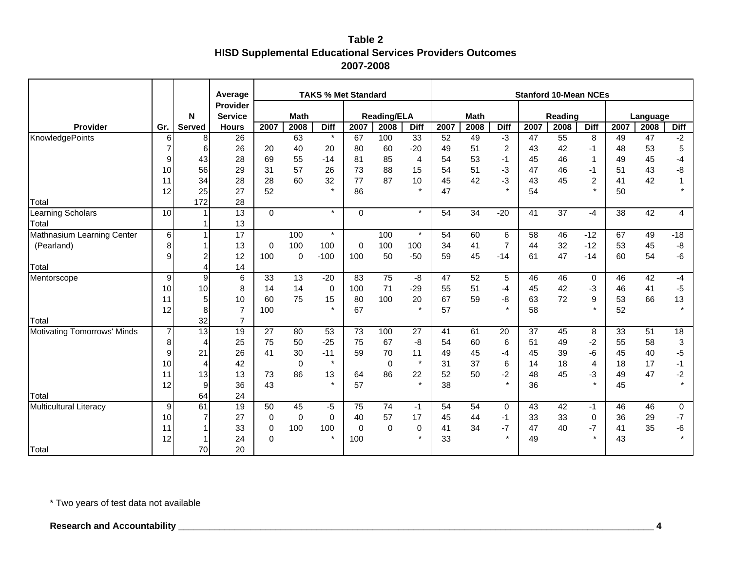|                                    |                |                | Average                    |             |             | <b>TAKS % Met Standard</b> |             |                    |                |                 |                 |                      |      | <b>Stanford 10-Mean NCEs</b> |                |                 |          |                |
|------------------------------------|----------------|----------------|----------------------------|-------------|-------------|----------------------------|-------------|--------------------|----------------|-----------------|-----------------|----------------------|------|------------------------------|----------------|-----------------|----------|----------------|
|                                    |                | N              | Provider<br><b>Service</b> |             | <b>Math</b> |                            |             | <b>Reading/ELA</b> |                |                 | <b>Math</b>     |                      |      | Reading                      |                |                 | Language |                |
| <b>Provider</b>                    | Gr.            | <b>Served</b>  | <b>Hours</b>               | 2007        | 2008        | <b>Diff</b>                | 2007        | 2008               | <b>Diff</b>    | 2007            | 2008            | <b>Diff</b>          | 2007 | 2008                         | <b>Diff</b>    | 2007            | 2008     | <b>Diff</b>    |
| KnowledgePoints                    | 6              | 8              | $\overline{26}$            |             | 63          | $\star$                    | 67          | 100                | 33             | 52              | 49              | لۍ.                  | 47   | 55                           | 8              | 49              | 47       | $-2$           |
|                                    |                | $6 \mid$       | 26                         | 20          | 40          | 20                         | 80          | 60                 | $-20$          | 49              | 51              | $\sqrt{2}$           | 43   | 42                           | -1             | 48              | 53       | 5              |
|                                    | 9              | 43             | 28                         | 69          | 55          | $-14$                      | 81          | 85                 | $\overline{4}$ | 54              | 53              | $-1$                 | 45   | 46                           | $\mathbf{1}$   | 49              | 45       | -4             |
|                                    | 10             | 56             | 29                         | 31          | 57          | 26                         | 73          | 88                 | 15             | 54              | 51              | $-3$                 | 47   | 46                           | $-1$           | 51              | 43       | -8             |
|                                    | 11             | 34             | 28                         | 28          | 60          | 32                         | 77          | 87                 | 10             | 45              | 42              | $-3$                 | 43   | 45                           | $\overline{c}$ | 41              | 42       |                |
|                                    | 12             | 25             | 27                         | 52          |             | $\star$                    | 86          |                    | $\star$        | 47              |                 | $\star$              | 54   |                              | $\star$        | 50              |          |                |
| Total                              |                | 172            | 28                         |             |             |                            |             |                    |                |                 |                 |                      |      |                              |                |                 |          |                |
| Learning Scholars                  | 10             |                | 13                         | $\Omega$    |             | $\star$                    | $\mathbf 0$ |                    | $\star$        | 54              | $\overline{34}$ | $-20$                | 41   | 37                           | $-4$           | $\overline{38}$ | 42       | $\overline{4}$ |
| Total                              |                |                | 13                         |             |             |                            |             |                    |                |                 |                 |                      |      |                              |                |                 |          |                |
| Mathnasium Learning Center         | 6 <sup>1</sup> | 1              | $\overline{17}$            |             | 100         | $\star$                    |             | 100                | $\star$        | $\overline{54}$ | 60              | 6                    | 58   | 46                           | $-12$          | 67              | 49       | $-18$          |
| (Pearland)                         | 8              |                | 13                         | $\mathbf 0$ | 100         | 100                        | $\mathbf 0$ | 100                | 100            | 34              | 41              | $\overline{7}$       | 44   | 32                           | $-12$          | 53              | 45       | -8             |
|                                    | 9              |                | 12                         | 100         | $\mathbf 0$ | $-100$                     | 100         | 50                 | $-50$          | 59              | 45              | $-14$                | 61   | 47                           | $-14$          | 60              | 54       | -6             |
| Total                              |                | 4              | 14                         |             |             |                            |             |                    |                |                 |                 |                      |      |                              |                |                 |          |                |
| Mentorscope                        | $\overline{9}$ | $\overline{9}$ | 6                          | 33          | 13          | $-20$                      | 83          | 75                 | -8             | 47              | 52              | 5                    | 46   | 46                           | $\mathbf 0$    | 46              | 42       | $-4$           |
|                                    | 10             | 10             | 8                          | 14          | 14          | $\mathbf 0$                | 100         | 71                 | $-29$          | 55              | 51              | -4                   | 45   | 42                           | -3             | 46              | 41       | $-5$           |
|                                    | 11             | 5 <sub>l</sub> | 10                         | 60          | 75          | 15                         | 80          | 100                | 20             | 67              | 59              | -8                   | 63   | 72                           | 9              | 53              | 66       | 13             |
|                                    | 12             | 8              | $\overline{7}$             | 100         |             | $\star$                    | 67          |                    | $\star$        | 57              |                 | $\ddot{\phantom{0}}$ | 58   |                              | $\star$        | 52              |          |                |
| Total                              |                | 32             | $\overline{7}$             |             |             |                            |             |                    |                |                 |                 |                      |      |                              |                |                 |          |                |
| <b>Motivating Tomorrows' Minds</b> |                | 13             | 19                         | 27          | 80          | 53                         | 73          | 100                | 27             | 41              | 61              | 20                   | 37   | 45                           | 8              | 33              | 51       | 18             |
|                                    | 8              | 4              | 25                         | 75          | 50          | $-25$                      | 75          | 67                 | -8             | 54              | 60              | 6                    | 51   | 49                           | $-2$           | 55              | 58       | 3              |
|                                    | 9              | 21             | 26                         | 41          | 30          | $-11$                      | 59          | 70                 | 11             | 49              | 45              | -4                   | 45   | 39                           | -6             | 45              | 40       | $-5$           |
|                                    | 10             | 4              | 42                         |             | $\mathbf 0$ | $\star$                    |             | $\mathbf 0$        | $\star$        | 31              | 37              | 6                    | 14   | 18                           | 4              | 18              | 17       | $-1$           |
|                                    | 11             | 13             | 13                         | 73          | 86          | 13                         | 64          | 86                 | 22             | 52              | 50              | $-2$                 | 48   | 45                           | -3             | 49              | 47       | $-2$           |
|                                    | 12             | 9              | 36                         | 43          |             | $\star$                    | 57          |                    | $\star$        | 38              |                 | $\star$              | 36   |                              | $\star$        | 45              |          |                |
| Total                              |                | 64             | 24                         |             |             |                            |             |                    |                |                 |                 |                      |      |                              |                |                 |          |                |
| <b>Multicultural Literacy</b>      | $\overline{9}$ | 61             | 19                         | 50          | 45          | -5                         | 75          | $\overline{74}$    | $-1$           | 54              | 54              | 0                    | 43   | 42                           | $-1$           | 46              | 46       | 0              |
|                                    | 10             |                | 27                         | 0           | $\mathbf 0$ | $\Omega$                   | 40          | 57                 | 17             | 45              | 44              | $-1$                 | 33   | 33                           | 0              | 36              | 29       | $-7$           |
|                                    | 11             |                | 33                         | $\mathbf 0$ | 100         | 100                        | $\mathbf 0$ | $\mathbf 0$        | 0              | 41              | 34              | $-7$                 | 47   | 40                           | $-7$           | 41              | 35       | -6             |
|                                    | 12             |                | 24                         | 0           |             | $\star$                    | 100         |                    | $\star$        | 33              |                 | $\star$              | 49   |                              | $\star$        | 43              |          |                |
| Total                              |                | 70             | 20                         |             |             |                            |             |                    |                |                 |                 |                      |      |                              |                |                 |          |                |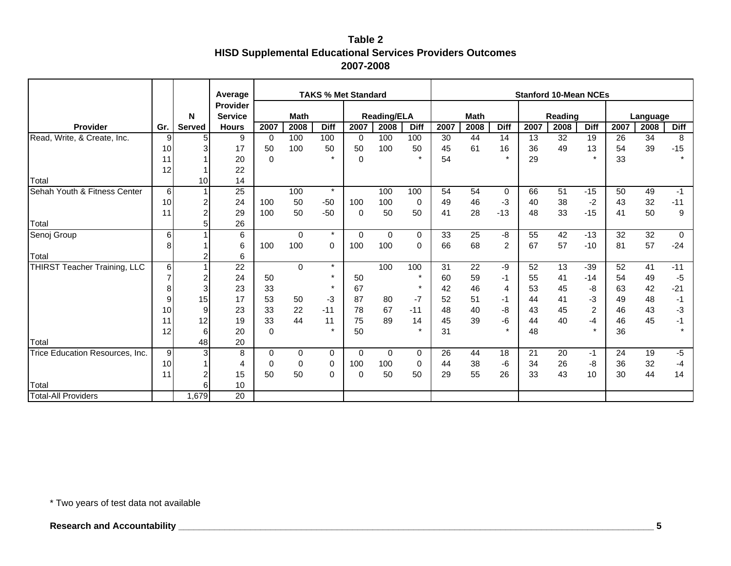|                                 |     |                | Average         |          |             | <b>TAKS % Met Standard</b> |             |                    |             |      |             |                |      | <b>Stanford 10-Mean NCEs</b> |                |      |          |             |
|---------------------------------|-----|----------------|-----------------|----------|-------------|----------------------------|-------------|--------------------|-------------|------|-------------|----------------|------|------------------------------|----------------|------|----------|-------------|
|                                 |     |                | <b>Provider</b> |          |             |                            |             |                    |             |      |             |                |      |                              |                |      |          |             |
|                                 |     | N              | <b>Service</b>  |          | <b>Math</b> |                            |             | <b>Reading/ELA</b> |             |      | <b>Math</b> |                |      | Reading                      |                |      | Language |             |
| Provider                        | Gr. | Served         | <b>Hours</b>    | 2007     | 2008        | <b>Diff</b>                | 2007        | 2008               | <b>Diff</b> | 2007 | 2008        | <b>Diff</b>    | 2007 | 2008                         | <b>Diff</b>    | 2007 | 2008     | <b>Diff</b> |
| Read, Write, & Create, Inc.     | 9   | $5\vert$       | 9               | $\Omega$ | 100         | 100                        | 0           | 100                | 100         | 30   | 44          | 14             | 13   | 32                           | 19             | 26   | 34       | 8           |
|                                 | 10  | 3              | 17              | 50       | 100         | 50                         | 50          | 100                | 50          | 45   | 61          | 16             | 36   | 49                           | 13             | 54   | 39       | $-15$       |
|                                 | 11  |                | 20              | $\Omega$ |             | $\star$                    | $\Omega$    |                    | $\star$     | 54   |             |                | 29   |                              | $\star$        | 33   |          |             |
|                                 | 12  |                | 22              |          |             |                            |             |                    |             |      |             |                |      |                              |                |      |          |             |
| Total                           |     | 10             | 14              |          |             |                            |             |                    |             |      |             |                |      |                              |                |      |          |             |
| Sehah Youth & Fitness Center    | 6   |                | $\overline{25}$ |          | 100         | $\star$                    |             | 100                | 100         | 54   | 54          | 0              | 66   | 51                           | $-15$          | 50   | 49       | $-1$        |
|                                 | 10  | 2              | 24              | 100      | 50          | $-50$                      | 100         | 100                | 0           | 49   | 46          | $-3$           | 40   | 38                           | $-2$           | 43   | 32       | $-11$       |
|                                 | 11  | $\overline{2}$ | 29              | 100      | 50          | $-50$                      | $\mathbf 0$ | 50                 | 50          | 41   | 28          | $-13$          | 48   | 33                           | $-15$          | 41   | 50       | 9           |
| Total                           |     | 5              | 26              |          |             |                            |             |                    |             |      |             |                |      |                              |                |      |          |             |
| Senoj Group                     | 6   |                | 6               |          | 0           | $\star$                    | $\mathbf 0$ | $\mathbf 0$        | 0           | 33   | 25          | -8             | 55   | 42                           | $-13$          | 32   | 32       | $\mathbf 0$ |
|                                 | 8   |                | 6               | 100      | 100         | 0                          | 100         | 100                | 0           | 66   | 68          | $\overline{c}$ | 67   | 57                           | $-10$          | 81   | 57       | $-24$       |
| Total                           |     | $\overline{2}$ | 6               |          |             |                            |             |                    |             |      |             |                |      |                              |                |      |          |             |
| THIRST Teacher Training, LLC    | 6   |                | 22              |          | $\Omega$    | $\star$                    |             | 100                | 100         | 31   | 22          | -9             | 52   | 13                           | $-39$          | 52   | 41       | $-11$       |
|                                 |     | 2              | 24              | 50       |             | $\star$                    | 50          |                    | $\star$     | 60   | 59          | $-1$           | 55   | 41                           | $-14$          | 54   | 49       | -5          |
|                                 | 8   | 3              | 23              | 33       |             | $\star$                    | 67          |                    | $\star$     | 42   | 46          | 4              | 53   | 45                           | -8             | 63   | 42       | $-21$       |
|                                 | 9   | 15             | 17              | 53       | 50          | $-3$                       | 87          | 80                 | $-7$        | 52   | 51          | -1             | 44   | 41                           | -3             | 49   | 48       | -1          |
|                                 | 10  | 9              | 23              | 33       | 22          | $-11$                      | 78          | 67                 | $-11$       | 48   | 40          | -8             | 43   | 45                           | $\overline{c}$ | 46   | 43       | -3          |
|                                 | 11  | 12             | 19              | 33       | 44          | 11                         | 75          | 89                 | 14          | 45   | 39          | -6             | 44   | 40                           | -4             | 46   | 45       | -1          |
|                                 | 12  | 6              | 20              | $\Omega$ |             | $\star$                    | 50          |                    | $\star$     | 31   |             |                | 48   |                              | $\mathbf{r}$   | 36   |          | $\star$     |
| Total                           |     | 48             | 20              |          |             |                            |             |                    |             |      |             |                |      |                              |                |      |          |             |
| Trice Education Resources, Inc. | 9   | 3              | 8               | $\Omega$ | 0           | 0                          | $\Omega$    | $\mathbf 0$        | 0           | 26   | 44          | 18             | 21   | 20                           | -1             | 24   | 19       | -5          |
|                                 | 10  |                | 4               | 0        | 0           | 0                          | 100         | 100                | 0           | 44   | 38          | -6             | 34   | 26                           | -8             | 36   | 32       | -4          |
|                                 | 11  | 2              | 15              | 50       | 50          | 0                          | $\Omega$    | 50                 | 50          | 29   | 55          | 26             | 33   | 43                           | 10             | 30   | 44       | 14          |
| Total                           |     | 6              | 10              |          |             |                            |             |                    |             |      |             |                |      |                              |                |      |          |             |
| <b>Total-All Providers</b>      |     | 1,679          | 20              |          |             |                            |             |                    |             |      |             |                |      |                              |                |      |          |             |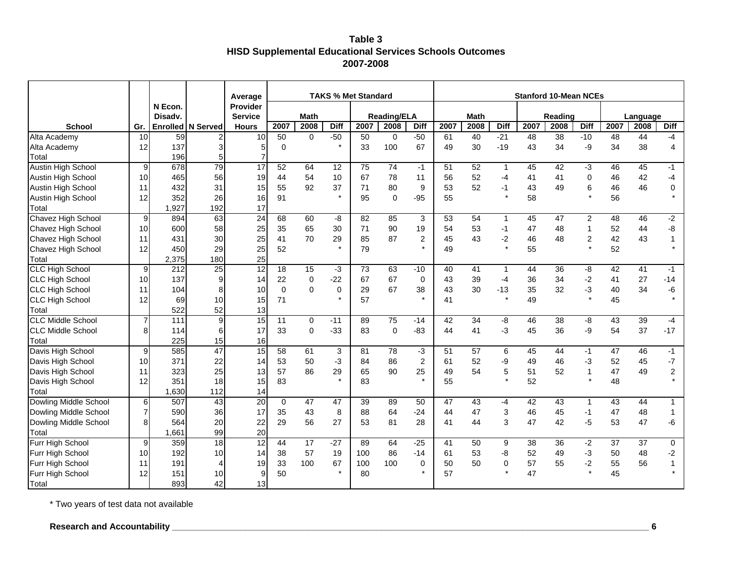### **Table 3 HISD Supplemental Educational Services Schools Outcomes 2007-2008**

|                              |                 |                   |                                  | Average               |                 |                     |                      | <b>TAKS % Met Standard</b> |                            |                           |            |            |                      | <b>Stanford 10-Mean NCEs</b> |                 |                             |            |                  |                         |
|------------------------------|-----------------|-------------------|----------------------------------|-----------------------|-----------------|---------------------|----------------------|----------------------------|----------------------------|---------------------------|------------|------------|----------------------|------------------------------|-----------------|-----------------------------|------------|------------------|-------------------------|
|                              |                 | N Econ.           |                                  | Provider              |                 |                     |                      |                            |                            |                           |            |            |                      |                              |                 |                             |            |                  |                         |
| <b>School</b>                |                 | Disadv.           |                                  | <b>Service</b>        | 2007            | <b>Math</b>         |                      |                            | <b>Reading/ELA</b><br>2008 |                           |            | Math       |                      |                              | Reading<br>2008 | <b>Diff</b>                 |            | Language<br>2008 | <b>Diff</b>             |
| Alta Academy                 | Gr.<br>10       | Enrolled<br>59    | <b>N</b> Served                  | <b>Hours</b><br>10    | 50              | 2008<br>$\mathbf 0$ | <b>Diff</b><br>$-50$ | 2007<br>50                 | $\mathbf 0$                | <b>Diff</b><br>$-50$      | 2007<br>61 | 2008<br>40 | <b>Diff</b><br>$-21$ | 2007<br>$\overline{48}$      | $\overline{38}$ | $-10$                       | 2007<br>48 | 44               | $-4$                    |
| Alta Academy                 | 12              | 137               | $\overline{c}$<br>$\overline{3}$ | 5                     | $\mathbf 0$     |                     | $\star$              | 33                         | 100                        | 67                        | 49         | 30         | $-19$                | 43                           | 34              | -9                          | 34         | 38               | $\overline{4}$          |
| Total                        |                 | 196               | 5                                | 7                     |                 |                     |                      |                            |                            |                           |            |            |                      |                              |                 |                             |            |                  |                         |
| Austin High School           | $\overline{9}$  | 678               | 79                               | 17                    | 52              | 64                  | 12                   | 75                         | $\overline{74}$            | $-1$                      | 51         | 52         | $\mathbf{1}$         | 45                           | 42              | $-3$                        | 46         | 45               | $-1$                    |
| Austin High School           | 10              | 465               | 56                               | 19                    | 44              | 54                  | 10                   | 67                         | 78                         | 11                        | 56         | 52         | $-4$                 | 41                           | 41              | $\mathbf 0$                 | 46         | 42               | $-4$                    |
| Austin High School           | 11              | 432               | 31                               | 15                    | 55              | 92                  | 37                   | 71                         | 80                         | 9                         | 53         | 52         | $-1$                 | 43                           | 49              | 6                           | 46         | 46               | 0                       |
|                              |                 | 352               | 26                               |                       | 91              |                     |                      | 95                         | $\Omega$                   | $-95$                     | 55         |            | $\star$              | 58                           |                 | $\star$                     | 56         |                  |                         |
| Austin High School           | 12              |                   |                                  | 16                    |                 |                     |                      |                            |                            |                           |            |            |                      |                              |                 |                             |            |                  |                         |
| Total                        |                 | 1,927             | 192<br>63                        | 17<br>$\overline{24}$ |                 |                     |                      |                            |                            |                           |            |            |                      |                              |                 |                             |            |                  |                         |
| Chavez High School           | 9               | 894               |                                  |                       | 68              | 60                  | -8                   | $\overline{82}$            | 85                         | 3                         | 53         | 54         | $\mathbf{1}$         | 45                           | 47              | $\overline{2}$              | 48         | 46               | $-2$                    |
| Chavez High School           | 10 <sup>1</sup> | 600               | 58                               | 25                    | 35              | 65                  | 30                   | 71                         | 90                         | 19                        | 54         | 53         | $-1$                 | 47                           | 48              | $\mathbf{1}$                | 52         | 44               | -8                      |
| Chavez High School           | 11              | 431               | 30                               | 25                    | 41              | 70                  | 29                   | 85                         | 87                         | $\overline{c}$<br>$\star$ | 45         | 43         | $-2$<br>$\star$      | 46                           | 48              | $\boldsymbol{2}$<br>$\star$ | 42         | 43               | $\mathbf{1}$<br>$\star$ |
| Chavez High School           | 12              | 450               | 29                               | 25                    | 52              |                     |                      | 79                         |                            |                           | 49         |            |                      | 55                           |                 |                             | 52         |                  |                         |
| Total                        |                 | 2,375             | 180                              | 25                    |                 |                     |                      |                            |                            |                           |            |            |                      |                              |                 |                             |            |                  |                         |
| <b>CLC High School</b>       | 9               | 212               | 25                               | $\overline{12}$       | 18              | 15                  | $-3$                 | 73                         | 63                         | $-10$                     | 40         | 41         | $\mathbf{1}$         | 44                           | 36              | -8                          | 42         | 41               | $-1$                    |
| <b>CLC High School</b>       | 10              | 137               | 9                                | 14                    | 22              | 0                   | $-22$                | 67                         | 67                         | 0                         | 43         | 39         | $-4$                 | 36                           | 34              | $-2$                        | 41         | 27               | $-14$                   |
| <b>CLC High School</b>       | 11              | 104               | 8                                | 10                    | $\mathbf 0$     | $\mathbf 0$         | $\mathbf 0$          | 29                         | 67                         | 38                        | 43         | 30         | $-13$                | 35                           | 32              | $-3$                        | 40         | 34               | -6                      |
| <b>CLC High School</b>       | 12              | 69                | 10                               | 15                    | 71              |                     |                      | 57                         |                            | $\star$                   | 41         |            | $\star$              | 49                           |                 | $\star$                     | 45         |                  | $\star$                 |
| Total                        |                 | 522               | 52                               | 13                    |                 |                     |                      |                            |                            |                           |            |            |                      |                              |                 |                             |            |                  |                         |
| <b>CLC Middle School</b>     | $\overline{7}$  | $\frac{111}{111}$ | 9                                | 15                    | $\overline{11}$ | 0                   | $-11$                | 89                         | $\overline{75}$            | $-14$                     | 42         | 34         | -8                   | 46                           | 38              | -8                          | 43         | 39               | $-4$                    |
| <b>CLC Middle School</b>     | 8               | 114               | 6                                | 17                    | 33              | $\mathbf 0$         | $-33$                | 83                         | $\mathbf 0$                | $-83$                     | 44         | 41         | $-3$                 | 45                           | 36              | -9                          | 54         | 37               | $-17$                   |
| Total                        |                 | 225               | 15                               | 16                    |                 |                     |                      |                            |                            |                           |            |            |                      |                              |                 |                             |            |                  |                         |
| Davis High School            | 9               | 585               | 47                               | 15                    | 58              | 61                  | 3                    | 81                         | $\overline{78}$            | $-3$                      | 51         | 57         | 6                    | 45                           | 44              | $-1$                        | 47         | 46               | $-1$                    |
| Davis High School            | 10 <sup>1</sup> | 371               | 22                               | 14                    | 53              | 50                  | -3                   | 84                         | 86                         | 2                         | 61         | 52         | -9                   | 49                           | 46              | -3                          | 52         | 45               | $-7$                    |
| Davis High School            | 11              | 323               | 25                               | 13                    | 57              | 86                  | 29                   | 65                         | 90                         | 25                        | 49         | 54         | 5                    | 51                           | 52              | $\mathbf{1}$                | 47         | 49               | $\overline{c}$          |
| Davis High School            | 12              | 351               | 18                               | 15                    | 83              |                     |                      | 83                         |                            |                           | 55         |            | $\star$              | 52                           |                 | $\star$                     | 48         |                  |                         |
| Total                        |                 | 1,630             | 112                              | 14                    |                 |                     |                      |                            |                            |                           |            |            |                      |                              |                 |                             |            |                  |                         |
| <b>Dowling Middle School</b> | 6               | 507               | 43                               | 20                    | $\mathbf 0$     | 47                  | 47                   | 39                         | 89                         | 50                        | 47         | 43         | $-4$                 | 42                           | 43              | $\mathbf 1$                 | 43         | 44               | $\mathbf{1}$            |
| Dowling Middle School        | 7               | 590               | 36                               | 17                    | 35              | 43                  | 8                    | 88                         | 64                         | $-24$                     | 44         | 47         | 3                    | 46                           | 45              | $-1$                        | 47         | 48               | $\mathbf{1}$            |
| Dowling Middle School        | 8               | 564               | 20                               | 22                    | 29              | 56                  | 27                   | 53                         | 81                         | 28                        | 41         | 44         | 3                    | 47                           | 42              | $-5$                        | 53         | 47               | -6                      |
| Total                        |                 | 1,661             | 99                               | 20                    |                 |                     |                      |                            |                            |                           |            |            |                      |                              |                 |                             |            |                  |                         |
| Furr High School             | 9               | 359               | $\frac{1}{8}$                    | $\overline{12}$       | 44              | 17                  | $-27$                | 89                         | 64                         | $-25$                     | 41         | 50         | 9                    | 38                           | 36              | $-2$                        | 37         | 37               | 0                       |
| Furr High School             | 10 <sup>1</sup> | 192               | 10                               | 14                    | 38              | 57                  | 19                   | 100                        | 86                         | $-14$                     | 61         | 53         | -8                   | 52                           | 49              | $-3$                        | 50         | 48               | -2                      |
| Furr High School             | 11              | 191               | $\overline{4}$                   | 19                    | 33              | 100                 | 67                   | 100                        | 100                        | $\mathbf 0$               | 50         | 50         | 0                    | 57                           | 55              | $-2$                        | 55         | 56               | 1                       |
| Furr High School             | 12              | 151               | 10                               | 9                     | 50              |                     |                      | 80                         |                            | $\star$                   | 57         |            | $\star$              | 47                           |                 | $\star$                     | 45         |                  | $\star$                 |
| Total                        |                 | 893               | 42                               | 13                    |                 |                     |                      |                            |                            |                           |            |            |                      |                              |                 |                             |            |                  |                         |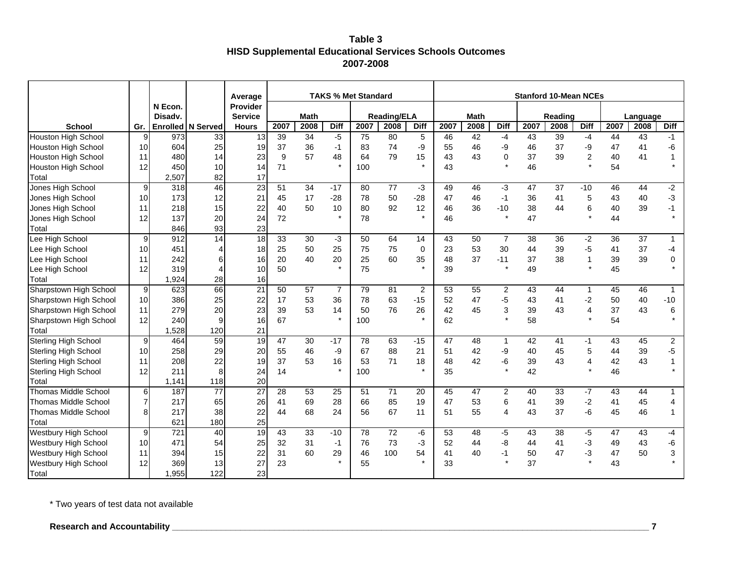### **Table 3 HISD Supplemental Educational Services Schools Outcomes 2007-2008**

|                             |                 |                 |                 | Average         |      |             |                | <b>TAKS % Met Standard</b> |                    |             |      |             |                | <b>Stanford 10-Mean NCEs</b> |         |                |      |          |                |
|-----------------------------|-----------------|-----------------|-----------------|-----------------|------|-------------|----------------|----------------------------|--------------------|-------------|------|-------------|----------------|------------------------------|---------|----------------|------|----------|----------------|
|                             |                 | N Econ.         |                 | <b>Provider</b> |      |             |                |                            |                    |             |      |             |                |                              |         |                |      |          |                |
|                             |                 | Disadv.         |                 | <b>Service</b>  |      | <b>Math</b> |                |                            | <b>Reading/ELA</b> |             |      | <b>Math</b> |                |                              | Reading |                |      | Language |                |
| <b>School</b>               | Gr.             | <b>Enrolled</b> | N Served        | <b>Hours</b>    | 2007 | 2008        | <b>Diff</b>    | 2007                       | 2008               | <b>Diff</b> | 2007 | 2008        | <b>Diff</b>    | 2007                         | 2008    | <b>Diff</b>    | 2007 | 2008     | <b>Diff</b>    |
| <b>Houston High School</b>  | 9               | 973             | 33              | 13              | 39   | 34          | $-5$           | 75                         | 80                 | 5           | 46   | 42          | -4             | 43                           | 39      | $-4$           | 44   | 43       | $-1$           |
| Houston High School         | 10              | 604             | 25              | 19              | 37   | 36          | $-1$           | 83                         | 74                 | -9          | 55   | 46          | -9             | 46                           | 37      | -9             | 47   | 41       | -6             |
| <b>Houston High School</b>  | 11              | 480             | 14              | 23              | 9    | 57          | 48             | 64                         | 79                 | 15          | 43   | 43          | $\mathbf 0$    | 37                           | 39      | $\mathbf 2$    | 40   | 41       |                |
| Houston High School         | 12              | 450             | 10              | 14              | 71   |             |                | 100                        |                    | $\star$     | 43   |             | $\star$        | 46                           |         | $\star$        | 54   |          | $\star$        |
| Total                       |                 | 2,507           | 82              | 17              |      |             |                |                            |                    |             |      |             |                |                              |         |                |      |          |                |
| Jones High School           | 9               | 318             | 46              | $\overline{23}$ | 51   | 34          | $-17$          | 80                         | 77                 | $-3$        | 49   | 46          | -3             | 47                           | 37      | $-10$          | 46   | 44       | $-2$           |
| Jones High School           | 10 <sup>1</sup> | 173             | 12              | 21              | 45   | 17          | $-28$          | 78                         | 50                 | $-28$       | 47   | 46          | $-1$           | 36                           | 41      | 5              | 43   | 40       | $-3$           |
| Jones High School           | 11              | 218             | 15              | 22              | 40   | 50          | 10             | 80                         | 92                 | 12          | 46   | 36          | $-10$          | 38                           | 44      | 6              | 40   | 39       | $-1$           |
| Jones High School           | 12              | 137             | 20              | 24              | 72   |             |                | 78                         |                    | $\star$     | 46   |             | $\star$        | 47                           |         | $\star$        | 44   |          | $\star$        |
| Total                       |                 | 846             | 93              | 23              |      |             |                |                            |                    |             |      |             |                |                              |         |                |      |          |                |
| Lee High School             | 9               | 912             | 14              | 18              | 33   | 30          | $-3$           | 50                         | 64                 | 14          | 43   | 50          | $\overline{7}$ | 38                           | 36      | $-2$           | 36   | 37       | $\mathbf{1}$   |
| Lee High School             | 10 <sup>1</sup> | 451             | 4               | 18              | 25   | 50          | 25             | 75                         | 75                 | $\mathbf 0$ | 23   | 53          | 30             | 44                           | 39      | $-5$           | 41   | 37       | -4             |
| Lee High School             | 11              | 242             | 6               | 16 <sup>1</sup> | 20   | 40          | 20             | 25                         | 60                 | 35          | 48   | 37          | $-11$          | 37                           | 38      | $\mathbf 1$    | 39   | 39       | 0              |
| Lee High School             | 12              | 319             | 4               | 10 <sup>1</sup> | 50   |             | $\star$        | 75                         |                    |             | 39   |             | $\star$        | 49                           |         | $\star$        | 45   |          |                |
| Total                       |                 | 1,924           | 28              | 16              |      |             |                |                            |                    |             |      |             |                |                              |         |                |      |          |                |
| Sharpstown High School      | 9               | 623             | 66              | 21              | 50   | 57          | $\overline{7}$ | 79                         | 81                 | 2           | 53   | 55          | 2              | 43                           | 44      | $\mathbf{1}$   | 45   | 46       | $\mathbf{1}$   |
| Sharpstown High School      | 10              | 386             | 25              | 22              | 17   | 53          | 36             | 78                         | 63                 | $-15$       | 52   | 47          | -5             | 43                           | 41      | $-2$           | 50   | 40       | $-10$          |
| Sharpstown High School      | 11              | 279             | 20              | 23              | 39   | 53          | 14             | 50                         | 76                 | 26          | 42   | 45          | 3              | 39                           | 43      | $\overline{4}$ | 37   | 43       | 6              |
| Sharpstown High School      | 12              | 240             | 9               | 16              | 67   |             | $\star$        | 100                        |                    | $\star$     | 62   |             | $\star$        | 58                           |         | $\star$        | 54   |          |                |
| Total                       |                 | ,528            | 120             | 21              |      |             |                |                            |                    |             |      |             |                |                              |         |                |      |          |                |
| <b>Sterling High School</b> | 9               | 464             | 59              | 19              | 47   | 30          | $-17$          | 78                         | 63                 | $-15$       | 47   | 48          | $\mathbf{1}$   | 42                           | 41      | -1             | 43   | 45       | $\overline{2}$ |
| <b>Sterling High School</b> | 10              | 258             | 29              | 20              | 55   | 46          | -9             | 67                         | 88                 | 21          | 51   | 42          | -9             | 40                           | 45      | 5              | 44   | 39       | $-5$           |
| <b>Sterling High School</b> | 11              | 208             | 22              | 19              | 37   | 53          | 16             | 53                         | 71                 | 18          | 48   | 42          | -6             | 39                           | 43      | 4              | 42   | 43       | 1              |
| <b>Sterling High School</b> | 12              | 211             | 8               | 24              | 14   |             |                | 100                        |                    |             | 35   |             | $\star$        | 42                           |         | $\star$        | 46   |          |                |
| Total                       |                 | 1,141           | 118             | 20              |      |             |                |                            |                    |             |      |             |                |                              |         |                |      |          |                |
| <b>Thomas Middle School</b> | $6 \,$          | 187             | $\overline{77}$ | $\overline{27}$ | 28   | 53          | 25             | 51                         | 71                 | 20          | 45   | 47          | $\overline{2}$ | 40                           | 33      | $-7$           | 43   | 44       | $\mathbf{1}$   |
| <b>Thomas Middle School</b> | 7               | 217             | 65              | 26              | 41   | 69          | 28             | 66                         | 85                 | 19          | 47   | 53          | 6              | 41                           | 39      | $-2$           | 41   | 45       | 4              |
| <b>Thomas Middle School</b> | 8               | 217             | 38              | 22              | 44   | 68          | 24             | 56                         | 67                 | 11          | 51   | 55          | $\overline{4}$ | 43                           | 37      | -6             | 45   | 46       | 1              |
| Total                       |                 | 621             | 180             | 25              |      |             |                |                            |                    |             |      |             |                |                              |         |                |      |          |                |
| <b>Westbury High School</b> | 9               | 721             | 40              | 19              | 43   | 33          | $-10$          | 78                         | $\overline{72}$    | -6          | 53   | 48          | -5             | 43                           | 38      | $-5$           | 47   | 43       | $-4$           |
| Westbury High School        | 10 <sup>1</sup> | 471             | 54              | 25              | 32   | 31          | $-1$           | 76                         | 73                 | -3          | 52   | 44          | -8             | 44                           | 41      | $-3$           | 49   | 43       | -6             |
| <b>Westbury High School</b> | 11              | 394             | 15              | 22              | 31   | 60          | 29             | 46                         | 100                | 54          | 41   | 40          | $-1$           | 50                           | 47      | $-3$           | 47   | 50       | 3              |
| <b>Westbury High School</b> | 12              | 369             | 13              | 27              | 23   |             |                | 55                         |                    |             | 33   |             | $\star$        | 37                           |         | $\star$        | 43   |          |                |
| Total                       |                 | ,955            | 122             | 23              |      |             |                |                            |                    |             |      |             |                |                              |         |                |      |          |                |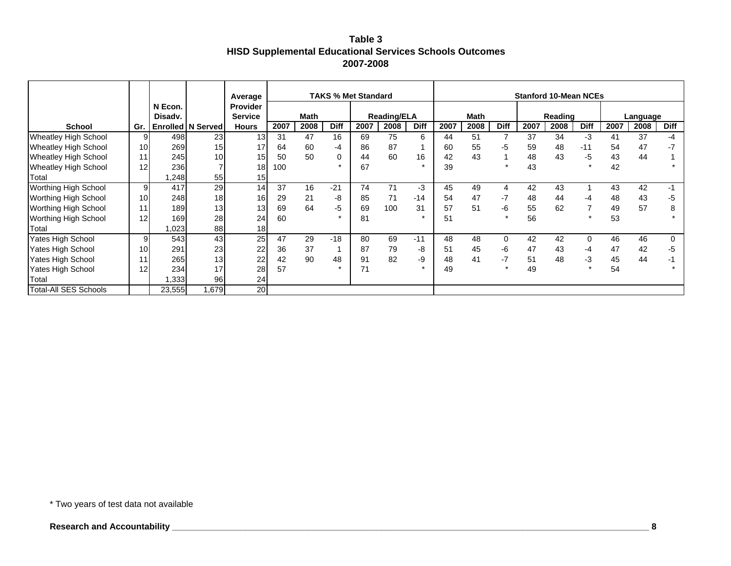### **Table 3 HISD Supplemental Educational Services Schools Outcomes 2007-2008**

|                              |     |                    |                     | Average                           |      |             | <b>TAKS % Met Standard</b> |      |                    |             |      |             |             |      | <b>Stanford 10-Mean NCEs</b> |             |      |          |             |
|------------------------------|-----|--------------------|---------------------|-----------------------------------|------|-------------|----------------------------|------|--------------------|-------------|------|-------------|-------------|------|------------------------------|-------------|------|----------|-------------|
|                              |     | N Econ.<br>Disadv. |                     | <b>Provider</b><br><b>Service</b> |      | <b>Math</b> |                            |      | <b>Reading/ELA</b> |             |      | <b>Math</b> |             |      | Reading                      |             |      | Language |             |
| <b>School</b>                | Gr. |                    | Enrolled   N Served | <b>Hours</b>                      | 2007 | 2008        | <b>Diff</b>                | 2007 | 2008               | <b>Diff</b> | 2007 | 2008        | <b>Diff</b> | 2007 | 2008                         | <b>Diff</b> | 2007 | 2008     | <b>Diff</b> |
| <b>Wheatley High School</b>  | 9   | 498                | 23                  | 13                                | 31   | 47          | 16                         | 69   | 75                 | 6           | 44   | 51          |             | 37   | 34                           | -3          | 41   | 37       | -4          |
| <b>Wheatley High School</b>  | 10  | 269                | 15                  | 17                                | 64   | 60          | -4                         | 86   | 87                 |             | 60   | 55          | -5          | 59   | 48                           | $-11$       | 54   | 47       | $-7$        |
| <b>Wheatley High School</b>  | 11  | 245                | 10                  | 15 <sup>1</sup>                   | 50   | 50          | 0                          | 44   | 60                 | 16          | 42   | 43          |             | 48   | 43                           | -5          | 43   | 44       |             |
| <b>Wheatley High School</b>  | 12  | 236                |                     | 18 <sup>1</sup>                   | 100  |             |                            | 67   |                    |             | 39   |             | $\star$     | 43   |                              | $\star$     | 42   |          |             |
| Total                        |     | ,248               | 55                  | 15                                |      |             |                            |      |                    |             |      |             |             |      |                              |             |      |          |             |
| Worthing High School         | 9   | 417                | 29                  | 14                                | 37   | 16          | $-21$                      | 74   | 71                 | -3          | 45   | 49          | 4           | 42   | 43                           |             | 43   | 42       | -1          |
| <b>Worthing High School</b>  | 10  | 248                | 18 <sup>l</sup>     | 16                                | 29   | 21          | -8                         | 85   | 71                 | $-14$       | 54   | 47          | $-7$        | 48   | 44                           | -4          | 48   | 43       | -5          |
| <b>Worthing High School</b>  | 11  | 189                | 13                  | 13 <sup>l</sup>                   | 69   | 64          | -5                         | 69   | 100                | 31          | 57   | 51          | -6          | 55   | 62                           |             | 49   | 57       | 8           |
| <b>Worthing High School</b>  | 12  | 169                | 28                  | 24                                | 60   |             |                            | 81   |                    |             | 51   |             | $\star$     | 56   |                              |             | 53   |          |             |
| Total                        |     | ,023               | 88                  | 18                                |      |             |                            |      |                    |             |      |             |             |      |                              |             |      |          |             |
| Yates High School            | 9   | 543                | 43                  | 25                                | 47   | 29          | $-18$                      | 80   | 69                 | $-11$       | 48   | 48          | $\Omega$    | 42   | 42                           | 0           | 46   | 46       | $\Omega$    |
| <b>Yates High School</b>     | 10  | 291                | 23                  | 22                                | 36   | 37          |                            | 87   | 79                 | -8          | 51   | 45          | -6          | 47   | 43                           | -4          | 47   | 42       | -5          |
| Yates High School            | 11  | 265                | 13                  | 22                                | 42   | 90          | 48                         | 91   | 82                 | -9          | 48   | 41          | -7          | 51   | 48                           | -3          | 45   | 44       |             |
| Yates High School            | 12  | 234                | 17                  | 28                                | 57   |             |                            | 71   |                    |             | 49   |             | $\star$     | 49   |                              |             | 54   |          |             |
| Total                        |     | ,333               | 96                  | 24                                |      |             |                            |      |                    |             |      |             |             |      |                              |             |      |          |             |
| <b>Total-All SES Schools</b> |     | 23,555             | 1,679               | 20                                |      |             |                            |      |                    |             |      |             |             |      |                              |             |      |          |             |